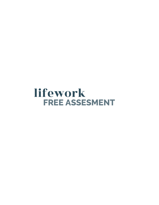# lifework **FREE ASSESMENT**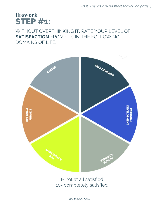*Psst. There's a worksheet for you on page 4.* 

### **STEP #1:** lifework

#### WITHOUT OVERTHINKING IT, RATE YOUR LEVEL OF **SATISFACTION** FROM 1-10 IN THE FOLLOWING DOMAINS OF LIFE.



1= not at all satisfied 10= completely satisfied

dolifework.com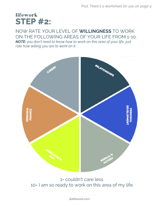## **STEP #2:** lifework

#### NOW RATE YOUR LEVEL OF **WILLINGNESS** TO WORK ON THE FOLLOWING AREAS OF YOUR LIFE FROM 1-10.

*NOTE: you don't need to know how to work on this area of your life, just rate how willing you are to work on it.*



1= couldn't care less 10= I am so ready to work on this area of my life

dolifework.com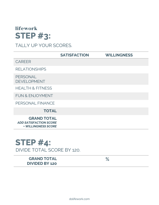## **STEP #3:** lifework

### TALLY UP YOUR SCORES.

|                                                                                   | <b>SATISFACTION</b> | <b>WILLINGNESS</b> |
|-----------------------------------------------------------------------------------|---------------------|--------------------|
| <b>CAREER</b>                                                                     |                     |                    |
| <b>RELATIONSHIPS</b>                                                              |                     |                    |
| PERSONAL<br><b>DEVELOPMENT</b>                                                    |                     |                    |
| <b>HEALTH &amp; FITNESS</b>                                                       |                     |                    |
| <b>FUN &amp; ENJOYMENT</b>                                                        |                     |                    |
| PERSONAL FINANCE                                                                  |                     |                    |
| <b>TOTAL</b>                                                                      |                     |                    |
| <b>GRAND TOTAL</b><br><b>ADD SATISFACTION SCORE</b><br><b>+ WILLINGNESS SCORE</b> |                     |                    |

### **STEP #4:** DIVIDE TOTAL SCORE BY 120.

**GRAND TOTAL DIVIDED BY 120** 

**%**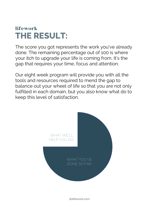# **THE RESULT:** lifework

The score you got represents the work you've already done. The remaining percentage out of 100 is where your itch to upgrade your life is coming from. It's the gap that requires your time, focus and attention.

Our eight week program will provide you with all the tools and resources required to mend the gap to balance out your wheel of life so that you are not only fulfilled in each domain, but you also know what do to keep this level of satisfaction.



dolifework.com